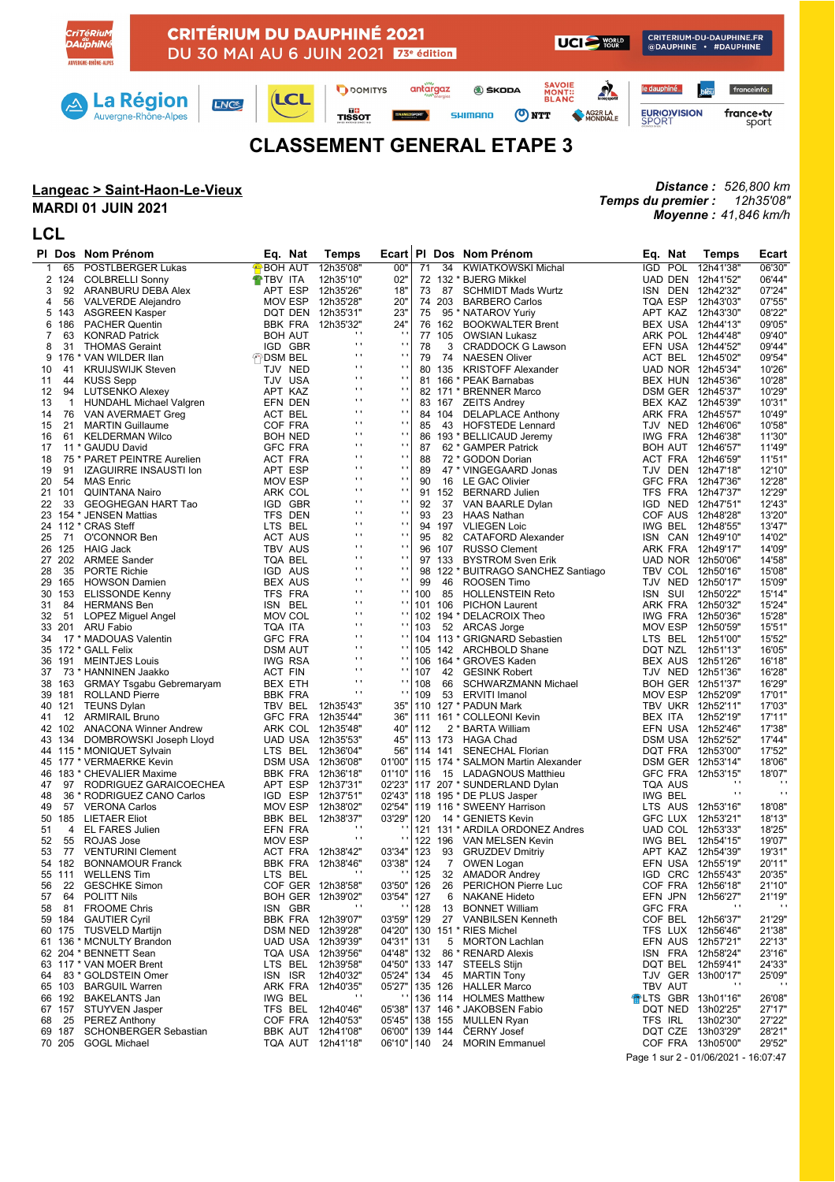## **CLASSEMENT GENERAL ETAPE 3**

## **Langeac > Saint-Haon-Le-Vieux**

## **MARDI 01 JUIN 2021**

## **LCL**

*Distance : 526,800 km Temps du premier : 12h35'08" Moyenne : 41,846 km/h*

|          |        | PI Dos Nom Prénom                             | Eq. Nat                   | <b>Temps</b>                           | Ecart                            |     |                    | PI Dos Nom Prénom                              | Eq. Nat                    | <b>Temps</b>           | Ecart              |
|----------|--------|-----------------------------------------------|---------------------------|----------------------------------------|----------------------------------|-----|--------------------|------------------------------------------------|----------------------------|------------------------|--------------------|
| 1        | 65     | POSTLBERGER Lukas                             | <b>P</b> BOH AUT          | 12h35'08"                              | 00"                              | 71  | 34                 | <b>KWIATKOWSKI Michal</b>                      | IGD POL                    | 12h41'38"              | 06'30"             |
|          | 2 124  | <b>COLBRELLI Sonny</b>                        | <b>THE TEV ITA</b>        | 12h35'10"                              | 02"                              |     |                    | 72 132 * BJERG Mikkel                          | UAD DEN                    | 12h41'52"              | 06'44"             |
| 3        | 92     | ARANBURU DEBA Alex                            | APT ESP                   | 12h35'26"                              | 18"                              | 73  | 87                 | <b>SCHMIDT Mads Wurtz</b>                      | ISN DEN                    | 12h42'32"              | 07'24"             |
| 4        | 56     | VALVERDE Alejandro                            | MOV ESP                   | 12h35'28"                              | 20"                              |     | 74 203             | <b>BARBERO Carlos</b>                          | TQA ESP                    | 12h43'03"              | 07'55'             |
| 5        | 143    | <b>ASGREEN Kasper</b>                         |                           | DQT DEN 12h35'31"                      | 23"                              | 75  |                    | 95 * NATAROV Yuriy                             | APT KAZ                    | 12h43'30"              | 08'22'             |
| 6        | 186    | <b>PACHER Quentin</b>                         |                           | BBK FRA 12h35'32"                      | 24"                              |     | 76 162             | <b>BOOKWALTER Brent</b>                        | BEX USA 12h44'13"          |                        | 09'05'             |
| 7        | 63     | <b>KONRAD Patrick</b>                         | <b>BOH AUT</b>            | $\cdots$                               | $\cdot$ $\cdot$                  |     | 77 105             | <b>OWSIAN Lukasz</b>                           | ARK POL                    | 12h44'48"              | 09'40'             |
| 8        | 31     | <b>THOMAS Geraint</b>                         | IGD GBR                   | $\mathbf{r}$                           | $\blacksquare$                   | 78  | 3                  | <b>CRADDOCK G Lawson</b>                       | EFN USA                    | 12h44'52"              | 09'44'             |
| 9        |        | 176 * VAN WILDER IIan                         | ↑ DSM BEL                 | $\mathbf{r}$                           | $\blacksquare$                   | 79  | 74                 | <b>NAESEN Oliver</b>                           | ACT BEL                    | 12h45'02"              | 09'54"             |
| 10       | 41     | <b>KRUIJSWIJK Steven</b>                      | TJV NED                   | $\blacksquare$                         | $\mathbf{r}$                     |     | 80 135             | <b>KRISTOFF Alexander</b>                      | UAD NOR 12h45'34"          |                        | 10'26'             |
| 11       | 44     | <b>KUSS Sepp</b>                              | TJV USA                   | $\blacksquare$                         | $\blacksquare$                   |     |                    | 81 166 * PEAK Barnabas                         | BEX HUN 12h45'36"          |                        | 10'28'             |
| 12       | 94     | LUTSENKO Alexey                               | APT KAZ                   | $\cdots$                               | $\mathbf{r}$                     |     |                    | 82 171 * BRENNER Marco                         | DSM GER 12h45'37"          |                        | 10'29"             |
| 13       |        | 1 HUNDAHL Michael Valgren                     | EFN DEN                   | $\mathbf{r}$                           | $\mathbf{r}$                     |     | 83 167             | <b>ZEITS Andrey</b>                            | BEX KAZ                    | 12h45'39"              | 10'31'             |
| 14       |        | 76 VAN AVERMAET Greg                          | ACT BEL                   | $\blacksquare$                         | $\blacksquare$                   |     | 84 104             | <b>DELAPLACE Anthony</b>                       | ARK FRA                    | 12h45'57"              | 10'49"             |
| 15       | 21     | <b>MARTIN Guillaume</b>                       | COF FRA                   | $\cdots$                               | $\mathbf{r}$                     | 85  | 43                 | <b>HOFSTEDE Lennard</b>                        | TJV NED                    | 12h46'06"              | 10'58'             |
| 16       | 61     | KELDERMAN Wilco                               | <b>BOH NED</b>            | $\mathbf{r}$                           | $\blacksquare$                   | 86  |                    | 193 * BELLICAUD Jeremy                         | IWG FRA                    | 12h46'38"              | 11'30'             |
| 17       |        | 11 * GAUDU David                              | <b>GFC FRA</b>            | $\blacksquare$<br>$\mathbf{r}$         | $\blacksquare$<br>$\blacksquare$ | 87  |                    | 62 * GAMPER Patrick                            | <b>BOH AUT</b>             | 12h46'57"              | 11'49"             |
| 18       |        | 75 * PARET PEINTRE Aurelien                   | ACT FRA                   |                                        | $\blacksquare$                   | 88  |                    | 72 * GODON Dorian                              | ACT FRA                    | 12h46'59"              | 11'51"             |
| 19       | 91     | <b>IZAGUIRRE INSAUSTI Ion</b>                 | APT ESP                   | $\mathbf{r}$<br>$\blacksquare$         | $\blacksquare$                   | 89  |                    | 47 * VINGEGAARD Jonas                          | TJV DEN                    | 12h47'18"              | 12'10"             |
| 20       | 54     | <b>MAS Enric</b>                              | <b>MOV ESP</b>            | $\mathbf{r}$                           | $\blacksquare$                   | 90  |                    | 16 LE GAC Olivier                              | <b>GFC FRA</b>             | 12h47'36"              | 12'28'             |
| 21       | 101    | <b>QUINTANA Nairo</b>                         | ARK COL                   | .,                                     | $\blacksquare$                   |     | 91 152             | <b>BERNARD Julien</b>                          | TFS FRA                    | 12h47'37"              | 12'29"             |
| 22       | 33     | GEOGHEGAN HART Tao                            | IGD GBR                   | $\blacksquare$                         | $\blacksquare$                   | 92  | 37                 | VAN BAARLE Dylan                               | IGD NED                    | 12h47'51"              | 12'43"             |
| 23       |        | 154 * JENSEN Mattias                          | TFS DEN                   | $\mathbf{r}$                           | $\blacksquare$                   | 93  | 23                 | HAAS Nathan                                    | COF AUS                    | 12h48'28"              | 13'20'             |
|          |        | 24 112 * CRAS Steff                           | LTS BEL                   | .,                                     | $\blacksquare$                   |     | 94 197             | <b>VLIEGEN Loic</b>                            | IWG BEL                    | 12h48'55"              | 13'47"             |
| 25       | 71     | O'CONNOR Ben                                  | <b>ACT AUS</b>            | $\blacksquare$                         | $\blacksquare$                   | 95  | 82                 | CATAFORD Alexander                             | ISN CAN                    | 12h49'10"              | 14'02'             |
| 26       | 125    | <b>HAIG Jack</b>                              | TBV AUS                   | $\cdots$                               | $\mathbf{r}$                     |     | 96 107             | <b>RUSSO Clement</b>                           | ARK FRA                    | 12h49'17"              | 14'09'             |
|          | 27 202 | <b>ARMEE Sander</b>                           | TQA BEL                   | $\mathbf{r}$                           | $\bar{\phantom{a}}$              |     | 97 133             | <b>BYSTROM Sven Erik</b>                       | UAD NOR 12h50'06"          |                        | 14'58"             |
| 28       | 35     | <b>PORTE Richie</b>                           | IGD AUS                   | $\blacksquare$                         | $\blacksquare$                   | 98  |                    | 122 * BUITRAGO SANCHEZ Santiago                | TBV COL                    | 12h50'16"              | 15'08'             |
| 29       | 165    | <b>HOWSON Damien</b>                          | <b>BEX AUS</b>            | $\cdots$                               | $\mathbf{r}$                     | 99  | 46                 | ROOSEN Timo                                    | TJV NED                    | 12h50'17"              | 15'09'             |
| 30       | 153    | <b>ELISSONDE Kenny</b>                        | TFS FRA                   | $\mathbf{r}$                           | $\blacksquare$                   | 100 | 85<br>101 106      | <b>HOLLENSTEIN Reto</b>                        | ISN SUI                    | 12h50'22"              | 15'14"             |
| 31       | 84     | HERMANS Ben                                   | ISN BEL                   | $\blacksquare$                         | $\mathbf{r}$                     |     |                    | <b>PICHON Laurent</b>                          | ARK FRA                    | 12h50'32"              | 15'24'             |
| 32       | 51     | LOPEZ Miguel Angel                            | <b>MOV COL</b><br>TQA ITA | $\cdots$                               | $\blacksquare$                   | 103 |                    | 102 194 * DELACROIX Theo                       | IWG FRA                    | 12h50'36"<br>12h50'59" | 15'28'             |
| 33<br>34 |        | 201 ARU Fabio                                 | <b>GFC FRA</b>            | $\mathbf{r}$                           |                                  |     |                    | 52 ARCAS Jorge<br>104 113 * GRIGNARD Sebastien | MOV ESP                    |                        | 15'51'<br>15'52'   |
|          |        | 17 * MADOUAS Valentin<br>35 172 * GALL Felix  | <b>DSM AUT</b>            | $\cdots$                               | $\mathbf{r}$                     |     |                    | 105 142 ARCHBOLD Shane                         | LTS BEL<br>DQT NZL         | 12h51'00"<br>12h51'13" | 16'05'             |
| 36       | 191    | <b>MEINTJES Louis</b>                         | <b>IWG RSA</b>            | $\cdots$                               | $\blacksquare$                   |     |                    | 106 164 * GROVES Kaden                         | BEX AUS                    | 12h51'26"              | 16'18'             |
| 37       |        | 73 * HANNINEN Jaakko                          | <b>ACT FIN</b>            | $\mathbf{r}$                           | $\blacksquare$                   | 107 | 42                 | <b>GESINK Robert</b>                           | TJV NED                    | 12h51'36"              | 16'28'             |
| 38       | 163    | <b>GRMAY Tsgabu Gebremaryam</b>               | BEX ETH                   | $\blacksquare$                         | $\blacksquare$                   | 108 | 66                 | SCHWARZMANN Michael                            | BOH GER 12h51'37"          |                        | 16'29"             |
| 39       | 181    | <b>ROLLAND Pierre</b>                         | <b>BBK FRA</b>            | $\mathbf{r}$                           | $\blacksquare$                   | 109 |                    | 53 ERVITI Imanol                               | MOV ESP 12h52'09"          |                        | 17'01"             |
| 40       |        | 121 TEUNS Dylan                               | TBV BEL                   | 12h35'43"                              | 35"                              |     |                    | 110 127 * PADUN Mark                           | TBV UKR 12h52'11"          |                        | 17'03'             |
| 41       |        | 12 ARMIRAIL Bruno                             | <b>GFC FRA</b>            | 12h35'44"                              | 36"                              |     |                    | 111 161 * COLLEONI Kevin                       | BEX ITA                    | 12h52'19"              | 17'11"             |
|          |        | 42 102 ANACONA Winner Andrew                  | ARK COL 12h35'48"         |                                        | 40"                              | 112 |                    | 2 * BARTA William                              | EFN USA 12h52'46"          |                        | 17'38'             |
| 43       |        | 134 DOMBROWSKI Joseph Lloyd                   | UAD USA 12h35'53"         |                                        | 45"                              |     |                    | 113 173 HAGA Chad                              | DSM USA 12h52'52"          |                        | 17'44"             |
|          |        | 44 115 * MONIQUET Sylvain                     | LTS BEL                   | 12h36'04"                              | 56"                              |     | 114 141            | <b>SENECHAL Florian</b>                        | DQT FRA                    | 12h53'00"              | 17'52"             |
|          |        | 45 177 * VERMAERKE Kevin                      | DSM USA 12h36'08"         |                                        | 01'00"                           |     |                    | 115 174 * SALMON Martin Alexander              | DSM GER 12h53'14"          |                        | 18'06'             |
| 46       |        | 183 * CHEVALIER Maxime                        | BBK FRA                   | 12h36'18"                              | 01'10"                           | 116 |                    | 15 LADAGNOUS Matthieu                          | <b>GFC FRA</b>             | 12h53'15"              | 18'07"             |
| 47       | 97     | RODRIGUEZ GARAICOECHEA                        | APT ESP                   | 12h37'31"                              | 02'23"                           |     |                    | 117 207 * SUNDERLAND Dylan                     | <b>TQA AUS</b>             | $\cdot$                |                    |
| 48       |        | 36 * RODRIGUEZ CANO Carlos                    | IGD ESP                   | 12h37'51"                              | 02'43"                           |     |                    | 118 195 * DE PLUS Jasper                       | IWG BEL                    | $\cdot$                | $\bullet$          |
| 49       | 57     | <b>VERONA Carlos</b>                          | MOV ESP                   | 12h38'02"                              | 02'54"                           |     |                    | 119 116 * SWEENY Harrison                      | LTS AUS 12h53'16"          |                        | 18'08"             |
| 50       | 185    | <b>LIETAER Eliot</b>                          | BBK BEL                   | 12h38'37"                              | 03'29"                           | 120 |                    | 14 * GENIETS Kevin                             | <b>GFC LUX</b>             | 12h53'21"              | 18'13"             |
| 51       | 4      | EL FARES Julien                               | EFN FRA                   | $\mathbf{r}$                           |                                  |     |                    | 121 131 * ARDILA ORDONEZ Andres                | UAD COL 12h53'33"          |                        | 18'25"             |
| 52       | 55     | ROJAS Jose                                    | <b>MOV ESP</b>            | $\mathbf{r}$                           |                                  |     | 122 196            | VAN MELSEN Kevin                               | IWG BEL                    | 12h54'15"              | 19'07"             |
| 53       | 77     | <b>VENTURINI Clement</b>                      | ACT FRA 12h38'42"         |                                        | 03'34"                           | 123 | 93                 | <b>GRUZDEV Dmitriy</b>                         | APT KAZ                    | 12h54'39"              | 19'31"             |
|          |        | 54 182 BONNAMOUR Franck                       | BBK FRA 12h38'46"         |                                        | 03'38"                           | 124 |                    | 7 OWEN Logan                                   |                            | EFN USA 12h55'19"      | 20'11"             |
|          |        | 55 111 WELLENS Tim                            | LTS BEL                   |                                        | $\cdot$ .                        |     |                    | 125 32 AMADOR Andrey                           | IGD CRC 12h55'43"          |                        | 20'35"             |
| 56       |        | 22 GESCHKE Simon                              |                           | COF GER 12h38'58"                      | 03'50"   126                     |     |                    | 26 PERICHON Pierre Luc                         | COF FRA 12h56'18"          |                        | 21'10"             |
| 57       | 64     | POLITT Nils                                   |                           | BOH GER 12h39'02"                      | 03'54"                           | 127 | 6                  | NAKANE Hideto                                  | EFN JPN                    | 12h56'27"              | 21'19"             |
| 58       | 81     | <b>FROOME Chris</b>                           | ISN GBR                   |                                        |                                  | 128 | 13                 | <b>BONNET William</b>                          | <b>GFC FRA</b>             |                        | $\cdot$            |
|          | 59 184 | <b>GAUTIER Cyril</b>                          |                           | BBK FRA 12h39'07"                      | 03'59"                           | 129 | 27                 | <b>VANBILSEN Kenneth</b>                       | COF BEL                    | 12h56'37"              | 21'29"             |
|          |        | 60 175 TUSVELD Martijn                        |                           | DSM NED 12h39'28"                      | 04'20"                           |     |                    | 130 151 * RIES Michel                          | TFS LUX                    | 12h56'46"              | 21'38"             |
|          |        | 61 136 * MCNULTY Brandon                      |                           | UAD USA 12h39'39"                      | 04'31"                           | 131 | 5                  | <b>MORTON Lachlan</b>                          | EFN AUS                    | 12h57'21"              | 22'13"             |
|          |        | 62 204 * BENNETT Sean                         |                           | TQA USA 12h39'56"                      | 04'48"                           | 132 |                    | 86 * RENARD Alexis                             | ISN FRA                    | 12h58'24"              | 23'16"             |
|          |        | 63 117 * VAN MOER Brent                       | LTS BEL 12h39'58"         |                                        | 04'50"                           |     |                    | 133 147 STEELS Stijn                           | DQT BEL                    | 12h59'41"              | 24'33"             |
| 64       |        | 83 * GOLDSTEIN Omer                           | ISN ISR                   | 12h40'32"                              | 05'24"                           |     |                    | 134 45 MARTIN Tony                             | TJV GER 13h00'17"          | $\cdots$               | 25'09"<br>$\cdots$ |
|          | 65 103 | <b>BARGUIL Warren</b>                         | ARK FRA<br><b>IWG BEL</b> | 12h40'35"                              | 05'27"                           |     | 135 126<br>136 114 | <b>HALLER Marco</b>                            | TBV AUT                    |                        |                    |
|          |        | 66 192 BAKELANTS Jan                          |                           |                                        |                                  |     |                    | <b>HOLMES Matthew</b>                          | <b>← LTS GBR 13h01'16"</b> |                        | 26'08"             |
| 68       | 25     | 67 157 STUYVEN Jasper<br><b>PEREZ Anthony</b> |                           | TFS BEL 12h40'46"<br>COF FRA 12h40'53" | 05'38"<br>05'45"                 |     | 138 155            | 137 146 * JAKOBSEN Fabio<br><b>MULLEN Ryan</b> | DQT NED<br>TFS IRL         | 13h02'25"<br>13h02'30" | 27'17"<br>27'22"   |
|          |        | 69 187 SCHONBERGER Sebastian                  |                           | BBK AUT 12h41'08"                      | 06'00"   139 144                 |     |                    | <b>CERNY Josef</b>                             |                            | DQT CZE 13h03'29"      | 28'21"             |
|          |        | 70 205 GOGL Michael                           |                           | TQA AUT 12h41'18"                      |                                  |     |                    | 06'10"   140 24 MORIN Emmanuel                 |                            | COF FRA 13h05'00"      | 29'52"             |
|          |        |                                               |                           |                                        |                                  |     |                    |                                                |                            |                        |                    |

Page 1 sur 2 - 01/06/2021 - 16:07:47